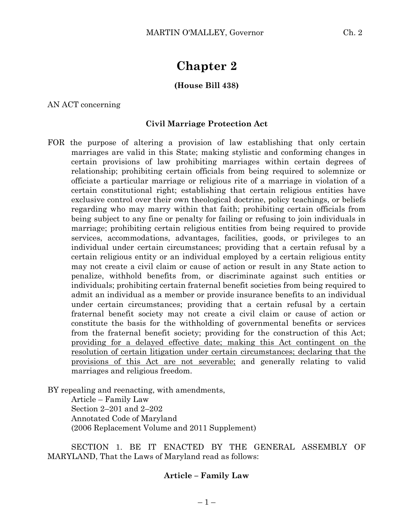# **Chapter 2**

### **(House Bill 438)**

AN ACT concerning

#### **Civil Marriage Protection Act**

FOR the purpose of altering a provision of law establishing that only certain marriages are valid in this State; making stylistic and conforming changes in certain provisions of law prohibiting marriages within certain degrees of relationship; prohibiting certain officials from being required to solemnize or officiate a particular marriage or religious rite of a marriage in violation of a certain constitutional right; establishing that certain religious entities have exclusive control over their own theological doctrine, policy teachings, or beliefs regarding who may marry within that faith; prohibiting certain officials from being subject to any fine or penalty for failing or refusing to join individuals in marriage; prohibiting certain religious entities from being required to provide services, accommodations, advantages, facilities, goods, or privileges to an individual under certain circumstances; providing that a certain refusal by a certain religious entity or an individual employed by a certain religious entity may not create a civil claim or cause of action or result in any State action to penalize, withhold benefits from, or discriminate against such entities or individuals; prohibiting certain fraternal benefit societies from being required to admit an individual as a member or provide insurance benefits to an individual under certain circumstances; providing that a certain refusal by a certain fraternal benefit society may not create a civil claim or cause of action or constitute the basis for the withholding of governmental benefits or services from the fraternal benefit society; providing for the construction of this Act; providing for a delayed effective date; making this Act contingent on the resolution of certain litigation under certain circumstances; declaring that the provisions of this Act are not severable; and generally relating to valid marriages and religious freedom.

BY repealing and reenacting, with amendments, Article – Family Law Section 2–201 and 2–202 Annotated Code of Maryland (2006 Replacement Volume and 2011 Supplement)

SECTION 1. BE IT ENACTED BY THE GENERAL ASSEMBLY OF MARYLAND, That the Laws of Maryland read as follows:

#### **Article – Family Law**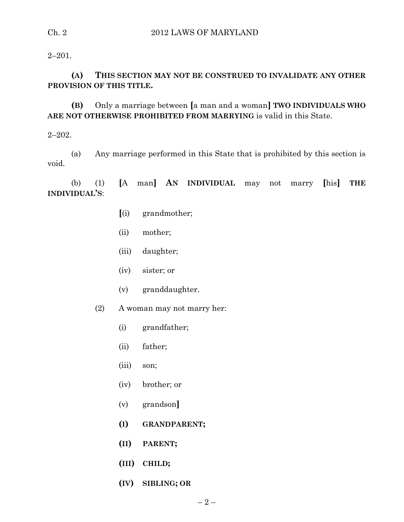$2 - 201.$ 

## **(A) THIS SECTION MAY NOT BE CONSTRUED TO INVALIDATE ANY OTHER PROVISION OF THIS TITLE.**

**(B)** Only a marriage between **[**a man and a woman**] TWO INDIVIDUALS WHO ARE NOT OTHERWISE PROHIBITED FROM MARRYING** is valid in this State.

 $2 - 202$ .

(a) Any marriage performed in this State that is prohibited by this section is void.

(b) (1) **[**A man**] AN INDIVIDUAL** may not marry **[**his**] THE INDIVIDUAL'S**:

- **[**(i) grandmother;
- (ii) mother;
- (iii) daughter;
- (iv) sister; or
- (v) granddaughter.
- (2) A woman may not marry her:
	- (i) grandfather;
	- (ii) father;
	- (iii) son;
	- (iv) brother; or
	- (v) grandson**]**
	- **(I) GRANDPARENT;**
	- **(II) PARENT;**
	- **(III) CHILD;**
	- **(IV) SIBLING; OR**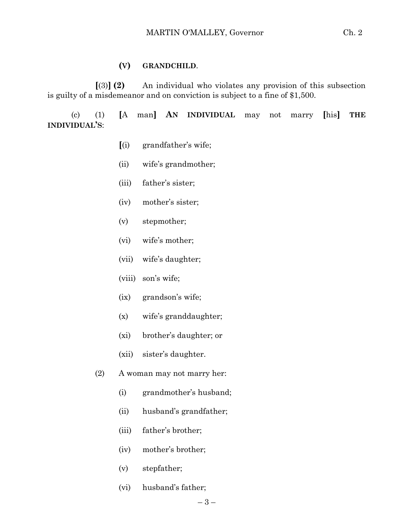#### **(V) GRANDCHILD**.

**[**(3)**] (2)** An individual who violates any provision of this subsection is guilty of a misdemeanor and on conviction is subject to a fine of \$1,500.

(c) (1) **[**A man**] AN INDIVIDUAL** may not marry **[**his**] THE INDIVIDUAL'S**:

- **[**(i) grandfather's wife;
- (ii) wife's grandmother;
- (iii) father's sister;
- (iv) mother's sister;
- (v) stepmother;
- (vi) wife's mother;
- (vii) wife's daughter;
- (viii) son's wife;
- (ix) grandson's wife;
- (x) wife's granddaughter;
- (xi) brother's daughter; or
- (xii) sister's daughter.
- (2) A woman may not marry her:
	- (i) grandmother's husband;
	- (ii) husband's grandfather;
	- (iii) father's brother;
	- (iv) mother's brother;
	- (v) stepfather;
	- (vi) husband's father;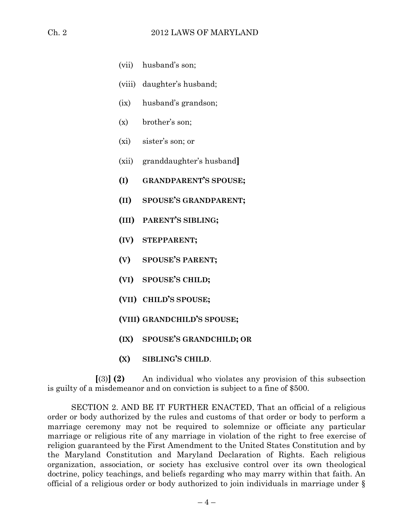- (vii) husband's son;
- (viii) daughter's husband;
- (ix) husband's grandson;
- (x) brother's son;
- (xi) sister's son; or
- (xii) granddaughter's husband**]**
- **(I) GRANDPARENT'S SPOUSE;**
- **(II) SPOUSE'S GRANDPARENT;**
- **(III) PARENT'S SIBLING;**
- **(IV) STEPPARENT;**
- **(V) SPOUSE'S PARENT;**
- **(VI) SPOUSE'S CHILD;**
- **(VII) CHILD'S SPOUSE;**
- **(VIII) GRANDCHILD'S SPOUSE;**
- **(IX) SPOUSE'S GRANDCHILD; OR**
- **(X) SIBLING'S CHILD**.

**[**(3)**] (2)** An individual who violates any provision of this subsection is guilty of a misdemeanor and on conviction is subject to a fine of \$500.

SECTION 2. AND BE IT FURTHER ENACTED, That an official of a religious order or body authorized by the rules and customs of that order or body to perform a marriage ceremony may not be required to solemnize or officiate any particular marriage or religious rite of any marriage in violation of the right to free exercise of religion guaranteed by the First Amendment to the United States Constitution and by the Maryland Constitution and Maryland Declaration of Rights. Each religious organization, association, or society has exclusive control over its own theological doctrine, policy teachings, and beliefs regarding who may marry within that faith. An official of a religious order or body authorized to join individuals in marriage under §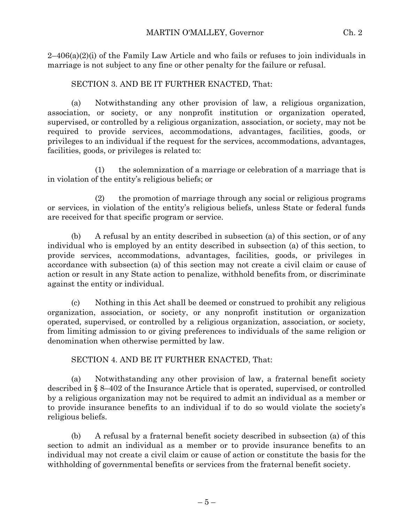$2-406(a)(2)$  of the Family Law Article and who fails or refuses to join individuals in marriage is not subject to any fine or other penalty for the failure or refusal.

## SECTION 3. AND BE IT FURTHER ENACTED, That:

(a) Notwithstanding any other provision of law, a religious organization, association, or society, or any nonprofit institution or organization operated, supervised, or controlled by a religious organization, association, or society, may not be required to provide services, accommodations, advantages, facilities, goods, or privileges to an individual if the request for the services, accommodations, advantages, facilities, goods, or privileges is related to:

(1) the solemnization of a marriage or celebration of a marriage that is in violation of the entity's religious beliefs; or

(2) the promotion of marriage through any social or religious programs or services, in violation of the entity's religious beliefs, unless State or federal funds are received for that specific program or service.

(b) A refusal by an entity described in subsection (a) of this section, or of any individual who is employed by an entity described in subsection (a) of this section, to provide services, accommodations, advantages, facilities, goods, or privileges in accordance with subsection (a) of this section may not create a civil claim or cause of action or result in any State action to penalize, withhold benefits from, or discriminate against the entity or individual.

(c) Nothing in this Act shall be deemed or construed to prohibit any religious organization, association, or society, or any nonprofit institution or organization operated, supervised, or controlled by a religious organization, association, or society, from limiting admission to or giving preferences to individuals of the same religion or denomination when otherwise permitted by law.

SECTION 4. AND BE IT FURTHER ENACTED, That:

(a) Notwithstanding any other provision of law, a fraternal benefit society described in § 8–402 of the Insurance Article that is operated, supervised, or controlled by a religious organization may not be required to admit an individual as a member or to provide insurance benefits to an individual if to do so would violate the society's religious beliefs.

(b) A refusal by a fraternal benefit society described in subsection (a) of this section to admit an individual as a member or to provide insurance benefits to an individual may not create a civil claim or cause of action or constitute the basis for the withholding of governmental benefits or services from the fraternal benefit society.